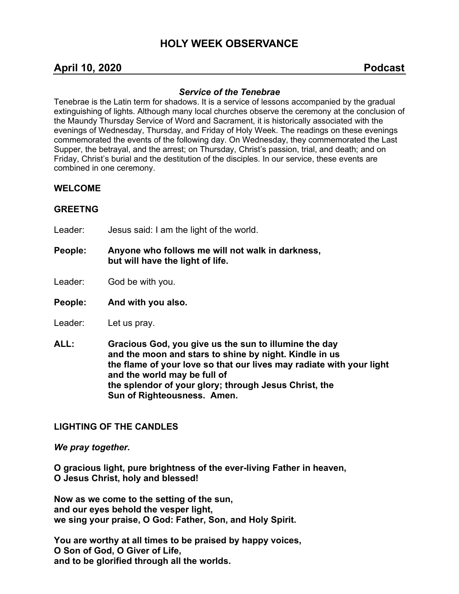# **HOLY WEEK OBSERVANCE**

## **April 10, 2020 Podcast**

## *Service of the Tenebrae*

Tenebrae is the Latin term for shadows. It is a service of lessons accompanied by the gradual extinguishing of lights. Although many local churches observe the ceremony at the conclusion of the Maundy Thursday Service of Word and Sacrament, it is historically associated with the evenings of Wednesday, Thursday, and Friday of Holy Week. The readings on these evenings commemorated the events of the following day. On Wednesday, they commemorated the Last Supper, the betrayal, and the arrest; on Thursday, Christ's passion, trial, and death; and on Friday, Christ's burial and the destitution of the disciples. In our service, these events are combined in one ceremony.

#### **WELCOME**

## **GREETNG**

- Leader: Jesus said: I am the light of the world.
- **People: Anyone who follows me will not walk in darkness, but will have the light of life.**
- Leader: God be with you.
- **People: And with you also.**
- Leader: Let us pray.
- **ALL: Gracious God, you give us the sun to illumine the day and the moon and stars to shine by night. Kindle in us the flame of your love so that our lives may radiate with your light and the world may be full of the splendor of your glory; through Jesus Christ, the Sun of Righteousness. Amen.**

#### **LIGHTING OF THE CANDLES**

*We pray together.*

**O gracious light, pure brightness of the ever-living Father in heaven, O Jesus Christ, holy and blessed!**

**Now as we come to the setting of the sun, and our eyes behold the vesper light, we sing your praise, O God: Father, Son, and Holy Spirit.**

**You are worthy at all times to be praised by happy voices, O Son of God, O Giver of Life, and to be glorified through all the worlds.**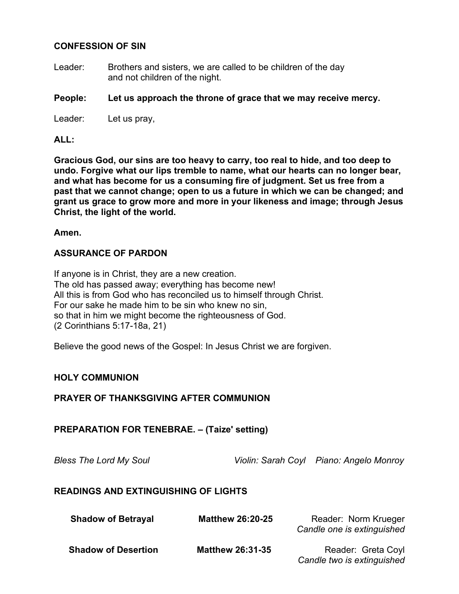## **CONFESSION OF SIN**

Leader: Brothers and sisters, we are called to be children of the day and not children of the night.

## **People: Let us approach the throne of grace that we may receive mercy.**

Leader: Let us pray,

#### **ALL:**

**Gracious God, our sins are too heavy to carry, too real to hide, and too deep to undo. Forgive what our lips tremble to name, what our hearts can no longer bear, and what has become for us a consuming fire of judgment. Set us free from a past that we cannot change; open to us a future in which we can be changed; and grant us grace to grow more and more in your likeness and image; through Jesus Christ, the light of the world.**

#### **Amen.**

## **ASSURANCE OF PARDON**

If anyone is in Christ, they are a new creation. The old has passed away; everything has become new! All this is from God who has reconciled us to himself through Christ. For our sake he made him to be sin who knew no sin, so that in him we might become the righteousness of God. (2 Corinthians 5:17-18a, 21)

Believe the good news of the Gospel: In Jesus Christ we are forgiven.

#### **HOLY COMMUNION**

#### **PRAYER OF THANKSGIVING AFTER COMMUNION**

**PREPARATION FOR TENEBRAE. – (Taize' setting)**

*Bless The Lord My Soul Violin: Sarah Coyl Piano: Angelo Monroy*

## **READINGS AND EXTINGUISHING OF LIGHTS**

| <b>Shadow of Betrayal</b>  | <b>Matthew 26:20-25</b> | Reader: Norm Krueger<br>Candle one is extinguished |
|----------------------------|-------------------------|----------------------------------------------------|
| <b>Shadow of Desertion</b> | <b>Matthew 26:31-35</b> | Reader: Greta Coyl<br>Candle two is extinguished   |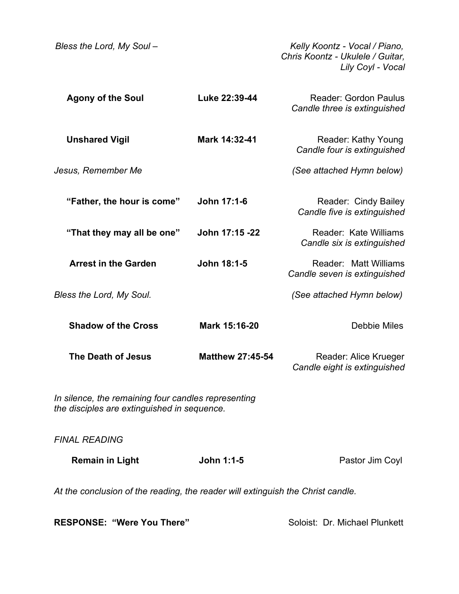| Bless the Lord, My Soul-                                                                           |                         | Kelly Koontz - Vocal / Piano,<br>Chris Koontz - Ukulele / Guitar.<br>Lily Coyl - Vocal |  |
|----------------------------------------------------------------------------------------------------|-------------------------|----------------------------------------------------------------------------------------|--|
| <b>Agony of the Soul</b>                                                                           | Luke 22:39-44           | <b>Reader: Gordon Paulus</b><br>Candle three is extinguished                           |  |
| <b>Unshared Vigil</b>                                                                              | Mark 14:32-41           | Reader: Kathy Young<br>Candle four is extinguished                                     |  |
| Jesus, Remember Me                                                                                 |                         | (See attached Hymn below)                                                              |  |
| "Father, the hour is come"                                                                         | John 17:1-6             | Reader: Cindy Bailey<br>Candle five is extinguished                                    |  |
| "That they may all be one"                                                                         | John 17:15 -22          | Reader: Kate Williams<br>Candle six is extinguished                                    |  |
| <b>Arrest in the Garden</b>                                                                        | John 18:1-5             | Reader: Matt Williams<br>Candle seven is extinguished                                  |  |
| Bless the Lord, My Soul.                                                                           |                         | (See attached Hymn below)                                                              |  |
| <b>Shadow of the Cross</b>                                                                         | Mark 15:16-20           | <b>Debbie Miles</b>                                                                    |  |
| The Death of Jesus                                                                                 | <b>Matthew 27:45-54</b> | Reader: Alice Krueger<br>Candle eight is extinguished                                  |  |
| In silence, the remaining four candles representing<br>the disciples are extinguished in sequence. |                         |                                                                                        |  |
| <b>FINAL READING</b>                                                                               |                         |                                                                                        |  |
| <b>Remain in Light</b>                                                                             | John 1:1-5              | Pastor Jim Coyl                                                                        |  |
| At the conclusion of the reading, the reader will extinguish the Christ candle.                    |                         |                                                                                        |  |

**RESPONSE: "Were You There"** Soloist: Dr. Michael Plunkett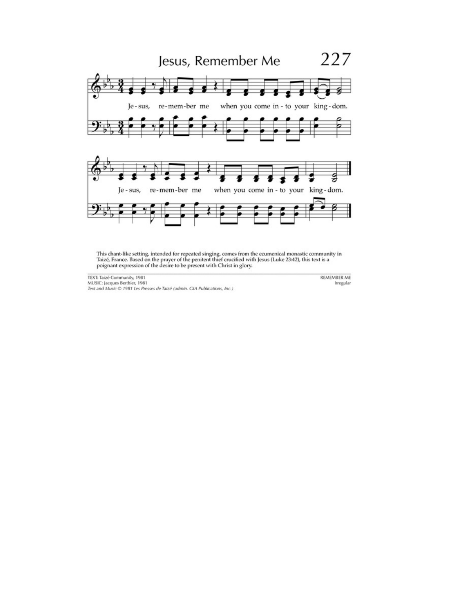

This chant-like setting, intended for repeated singing, comes from the ecumenical monastic community in Taizé, France. Based on the prayer of the penitent thief crucified with Jesus (Luke 23:42), this text is a poignant ex

TEXT: Taizé Community, 1981 MUSIC: Jacques Berthier, 1981<br>Text and Music © 1981 Les Presses de Taizé (admin. GIA Publications, Inc.) **REMEMBER ME** Irregular